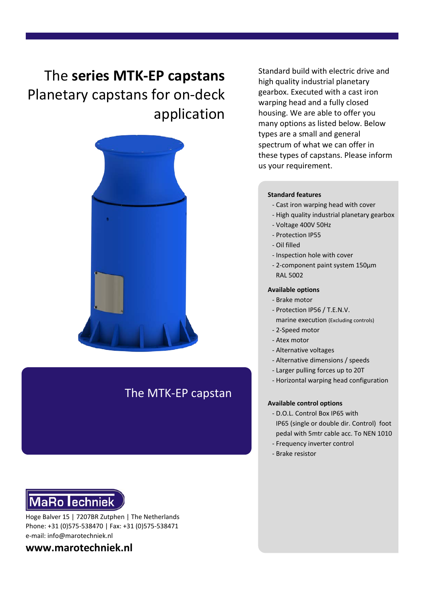# The **series MTK-EP capstans** Planetary capstans for on-deck application



# The MTK-EP capstan



Hoge Balver 15 | 7207BR Zutphen | The Netherlands Phone: +31 (0)575-538470 | Fax: +31 (0)575-538471 e-mail: info@marotechniek.nl

# **www.marotechniek.nl**

Standard build with electric drive and high quality industrial planetary gearbox. Executed with a cast iron warping head and a fully closed housing. We are able to offer you many options as listed below. Below types are a small and general spectrum of what we can offer in these types of capstans. Please inform us your requirement.

#### **Standard features**

- Cast iron warping head with cover
- High quality industrial planetary gearbox
- Voltage 400V 50Hz
- Protection IP55
- Oil filled
- Inspection hole with cover
- 2-component paint system 150μm RAL 5002

#### **Available options**

- Brake motor
- Protection IP56 / T.E.N.V. marine execution (Excluding controls)
- 2-Speed motor
- Atex motor
- Alternative voltages
- Alternative dimensions / speeds
- Larger pulling forces up to 20T
- Horizontal warping head configuration

#### **Available control options**

- D.O.L. Control Box IP65 with IP65 (single or double dir. Control) foot pedal with 5mtr cable acc. To NEN 1010
- Frequency inverter control
- Brake resistor